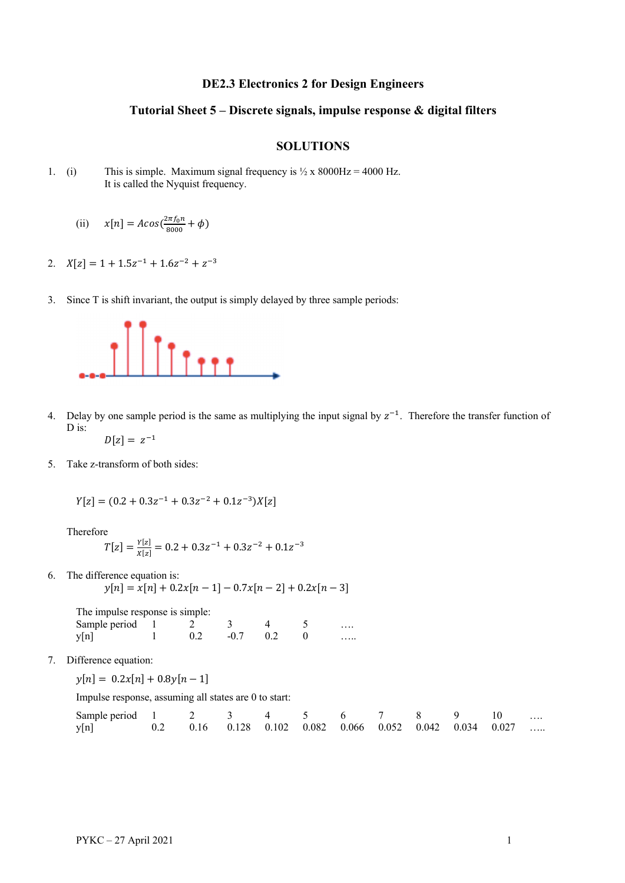## **DE2.3 Electronics 2 for Design Engineers**

## **Tutorial Sheet 5 – Discrete signals, impulse response & digital filters**

## **SOLUTIONS**

- 1. (i) This is simple. Maximum signal frequency is  $\frac{1}{2} \times 8000 \text{ Hz} = 4000 \text{ Hz}$ . It is called the Nyquist frequency.
	- (ii)  $x[n] = A\cos(\frac{2\pi f_0 n}{8000} + \phi)$
- 2.  $X[z] = 1 + 1.5z^{-1} + 1.6z^{-2} + z^{-3}$
- 3. Since T is shift invariant, the output is simply delayed by three sample periods:



- 4. Delay by one sample period is the same as multiplying the input signal by  $z^{-1}$ . Therefore the transfer function of D is:  $D[z] = z^{-1}$
- 5. Take z-transform of both sides:

$$
Y[z] = (0.2 + 0.3z^{-1} + 0.3z^{-2} + 0.1z^{-3})X[z]
$$

Therefore

$$
T[z] = \frac{Y[z]}{X[z]} = 0.2 + 0.3z^{-1} + 0.3z^{-2} + 0.1z^{-3}
$$

6. The difference equation is:

 $y[n] = x[n] + 0.2x[n-1] - 0.7x[n-2] + 0.2x[n-3]$ 

| The impulse response is simple: |     |        |    |   |
|---------------------------------|-----|--------|----|---|
| Sample period 1                 |     |        |    |   |
| y[n]                            | 0.2 | $-0.7$ | 02 | . |

7. Difference equation:

 $y[n] = 0.2x[n] + 0.8y[n-1]$ 

Impulse response, assuming all states are 0 to start:

| Sample period 1 2 3 4 5 6 7 8 9 10                            |  |  |  |  |  |  |
|---------------------------------------------------------------|--|--|--|--|--|--|
| y[n] 0.2 0.16 0.128 0.102 0.082 0.066 0.052 0.042 0.034 0.027 |  |  |  |  |  |  |